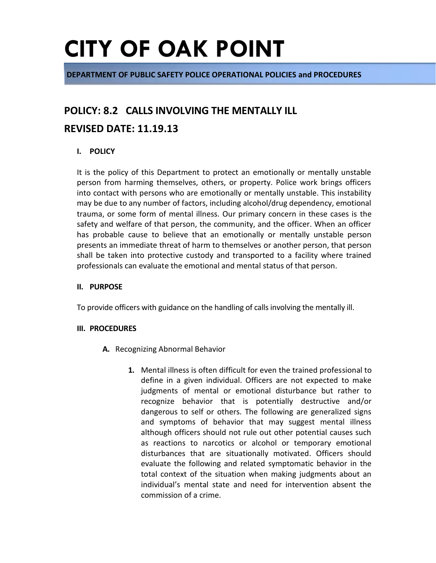**DEPARTMENT OF PUBLIC SAFETY POLICE OPERATIONAL POLICIES and PROCEDURES**

# **POLICY: 8.2 CALLS INVOLVING THE MENTALLY ILL**

## **REVISED DATE: 11.19.13**

## **I. POLICY**

It is the policy of this Department to protect an emotionally or mentally unstable person from harming themselves, others, or property. Police work brings officers into contact with persons who are emotionally or mentally unstable. This instability may be due to any number of factors, including alcohol/drug dependency, emotional trauma, or some form of mental illness. Our primary concern in these cases is the safety and welfare of that person, the community, and the officer. When an officer has probable cause to believe that an emotionally or mentally unstable person presents an immediate threat of harm to themselves or another person, that person shall be taken into protective custody and transported to a facility where trained professionals can evaluate the emotional and mental status of that person.

### **II. PURPOSE**

To provide officers with guidance on the handling of calls involving the mentally ill.

### **III. PROCEDURES**

- **A.** Recognizing Abnormal Behavior
	- **1.** Mental illness is often difficult for even the trained professional to define in a given individual. Officers are not expected to make judgments of mental or emotional disturbance but rather to recognize behavior that is potentially destructive and/or dangerous to self or others. The following are generalized signs and symptoms of behavior that may suggest mental illness although officers should not rule out other potential causes such as reactions to narcotics or alcohol or temporary emotional disturbances that are situationally motivated. Officers should evaluate the following and related symptomatic behavior in the total context of the situation when making judgments about an individual's mental state and need for intervention absent the commission of a crime.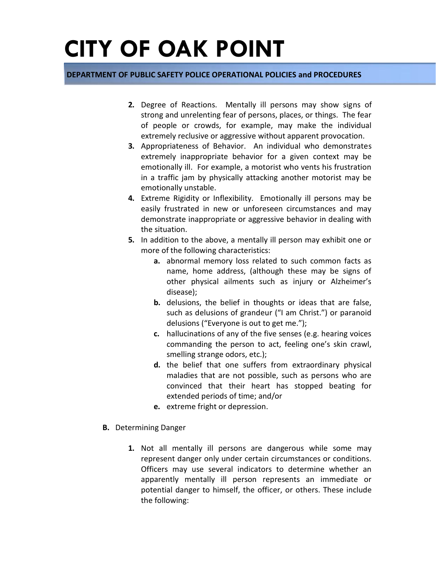### **DEPARTMENT OF PUBLIC SAFETY POLICE OPERATIONAL POLICIES and PROCEDURES**

- **2.** Degree of Reactions. Mentally ill persons may show signs of strong and unrelenting fear of persons, places, or things. The fear of people or crowds, for example, may make the individual extremely reclusive or aggressive without apparent provocation.
- **3.** Appropriateness of Behavior. An individual who demonstrates extremely inappropriate behavior for a given context may be emotionally ill. For example, a motorist who vents his frustration in a traffic jam by physically attacking another motorist may be emotionally unstable.
- **4.** Extreme Rigidity or Inflexibility. Emotionally ill persons may be easily frustrated in new or unforeseen circumstances and may demonstrate inappropriate or aggressive behavior in dealing with the situation.
- **5.** In addition to the above, a mentally ill person may exhibit one or more of the following characteristics:
	- **a.** abnormal memory loss related to such common facts as name, home address, (although these may be signs of other physical ailments such as injury or Alzheimer's disease);
	- **b.** delusions, the belief in thoughts or ideas that are false, such as delusions of grandeur ("I am Christ.") or paranoid delusions ("Everyone is out to get me.");
	- **c.** hallucinations of any of the five senses (e.g. hearing voices commanding the person to act, feeling one's skin crawl, smelling strange odors, etc.);
	- **d.** the belief that one suffers from extraordinary physical maladies that are not possible, such as persons who are convinced that their heart has stopped beating for extended periods of time; and/or
	- **e.** extreme fright or depression.
- **B.** Determining Danger
	- **1.** Not all mentally ill persons are dangerous while some may represent danger only under certain circumstances or conditions. Officers may use several indicators to determine whether an apparently mentally ill person represents an immediate or potential danger to himself, the officer, or others. These include the following: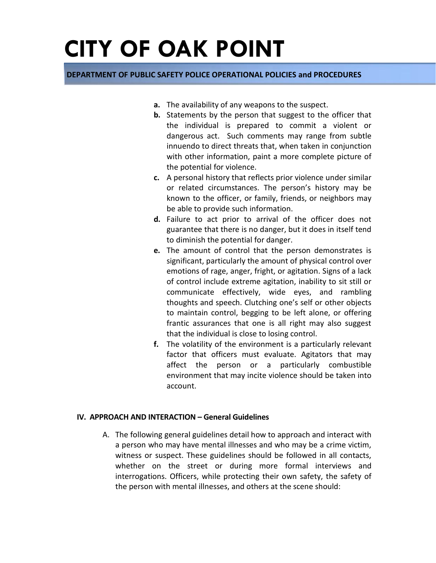### **DEPARTMENT OF PUBLIC SAFETY POLICE OPERATIONAL POLICIES and PROCEDURES**

- **a.** The availability of any weapons to the suspect.
- **b.** Statements by the person that suggest to the officer that the individual is prepared to commit a violent or dangerous act. Such comments may range from subtle innuendo to direct threats that, when taken in conjunction with other information, paint a more complete picture of the potential for violence.
- **c.** A personal history that reflects prior violence under similar or related circumstances. The person's history may be known to the officer, or family, friends, or neighbors may be able to provide such information.
- **d.** Failure to act prior to arrival of the officer does not guarantee that there is no danger, but it does in itself tend to diminish the potential for danger.
- **e.** The amount of control that the person demonstrates is significant, particularly the amount of physical control over emotions of rage, anger, fright, or agitation. Signs of a lack of control include extreme agitation, inability to sit still or communicate effectively, wide eyes, and rambling thoughts and speech. Clutching one's self or other objects to maintain control, begging to be left alone, or offering frantic assurances that one is all right may also suggest that the individual is close to losing control.
- **f.** The volatility of the environment is a particularly relevant factor that officers must evaluate. Agitators that may affect the person or a particularly combustible environment that may incite violence should be taken into account.

### **IV. APPROACH AND INTERACTION – General Guidelines**

A. The following general guidelines detail how to approach and interact with a person who may have mental illnesses and who may be a crime victim, witness or suspect. These guidelines should be followed in all contacts, whether on the street or during more formal interviews and interrogations. Officers, while protecting their own safety, the safety of the person with mental illnesses, and others at the scene should: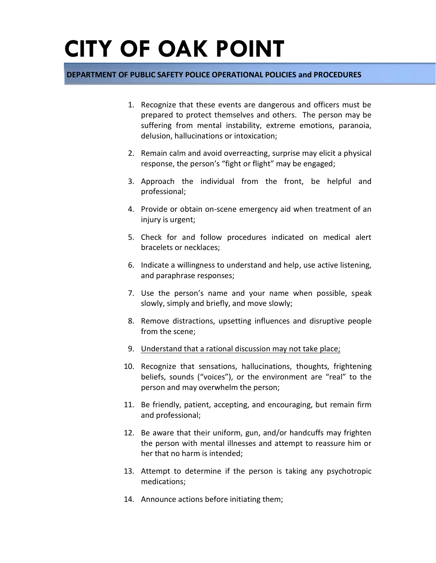### **DEPARTMENT OF PUBLIC SAFETY POLICE OPERATIONAL POLICIES and PROCEDURES**

- 1. Recognize that these events are dangerous and officers must be prepared to protect themselves and others. The person may be suffering from mental instability, extreme emotions, paranoia, delusion, hallucinations or intoxication;
- 2. Remain calm and avoid overreacting, surprise may elicit a physical response, the person's "fight or flight" may be engaged;
- 3. Approach the individual from the front, be helpful and professional;
- 4. Provide or obtain on-scene emergency aid when treatment of an injury is urgent;
- 5. Check for and follow procedures indicated on medical alert bracelets or necklaces;
- 6. Indicate a willingness to understand and help, use active listening, and paraphrase responses;
- 7. Use the person's name and your name when possible, speak slowly, simply and briefly, and move slowly;
- 8. Remove distractions, upsetting influences and disruptive people from the scene;
- 9. Understand that a rational discussion may not take place;
- 10. Recognize that sensations, hallucinations, thoughts, frightening beliefs, sounds ("voices"), or the environment are "real" to the person and may overwhelm the person;
- 11. Be friendly, patient, accepting, and encouraging, but remain firm and professional;
- 12. Be aware that their uniform, gun, and/or handcuffs may frighten the person with mental illnesses and attempt to reassure him or her that no harm is intended;
- 13. Attempt to determine if the person is taking any psychotropic medications;
- 14. Announce actions before initiating them;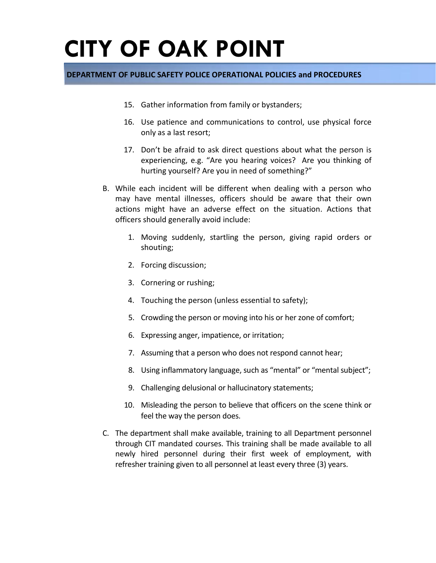### **DEPARTMENT OF PUBLIC SAFETY POLICE OPERATIONAL POLICIES and PROCEDURES**

- 15. Gather information from family or bystanders;
- 16. Use patience and communications to control, use physical force only as a last resort;
- 17. Don't be afraid to ask direct questions about what the person is experiencing, e.g. "Are you hearing voices? Are you thinking of hurting yourself? Are you in need of something?"
- B. While each incident will be different when dealing with a person who may have mental illnesses, officers should be aware that their own actions might have an adverse effect on the situation. Actions that officers should generally avoid include:
	- 1. Moving suddenly, startling the person, giving rapid orders or shouting;
	- 2. Forcing discussion;
	- 3. Cornering or rushing;
	- 4. Touching the person (unless essential to safety);
	- 5. Crowding the person or moving into his or her zone of comfort;
	- 6. Expressing anger, impatience, or irritation;
	- 7. Assuming that a person who does not respond cannot hear;
	- 8. Using inflammatory language, such as "mental" or "mental subject";
	- 9. Challenging delusional or hallucinatory statements;
	- 10. Misleading the person to believe that officers on the scene think or feel the way the person does.
- C. The department shall make available, training to all Department personnel through CIT mandated courses. This training shall be made available to all newly hired personnel during their first week of employment, with refresher training given to all personnel at least every three (3) years.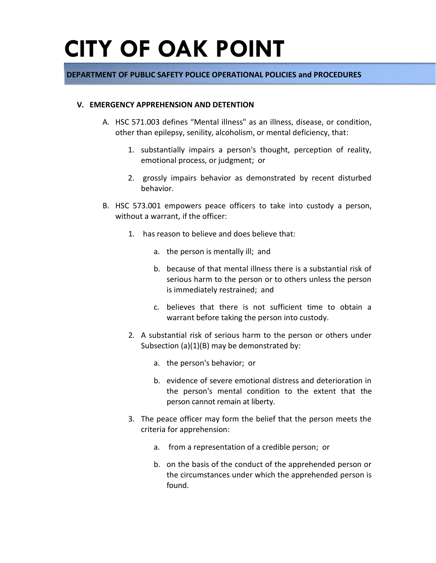### **DEPARTMENT OF PUBLIC SAFETY POLICE OPERATIONAL POLICIES and PROCEDURES**

#### **V. EMERGENCY APPREHENSION AND DETENTION**

- A. HSC 571.003 defines "Mental illness" as an illness, disease, or condition, other than epilepsy, senility, alcoholism, or mental deficiency, that:
	- 1. substantially impairs a person's thought, perception of reality, emotional process, or judgment; or
	- 2. grossly impairs behavior as demonstrated by recent disturbed behavior.
- B. HSC 573.001 empowers peace officers to take into custody a person, without a warrant, if the officer:
	- 1. has reason to believe and does believe that:
		- a. the person is mentally ill; and
		- b. because of that mental illness there is a substantial risk of serious harm to the person or to others unless the person is immediately restrained; and
		- c. believes that there is not sufficient time to obtain a warrant before taking the person into custody.
	- 2. A substantial risk of serious harm to the person or others under Subsection (a)(1)(B) may be demonstrated by:
		- a. the person's behavior; or
		- b. evidence of severe emotional distress and deterioration in the person's mental condition to the extent that the person cannot remain at liberty.
	- 3. The peace officer may form the belief that the person meets the criteria for apprehension:
		- a. from a representation of a credible person; or
		- b. on the basis of the conduct of the apprehended person or the circumstances under which the apprehended person is found.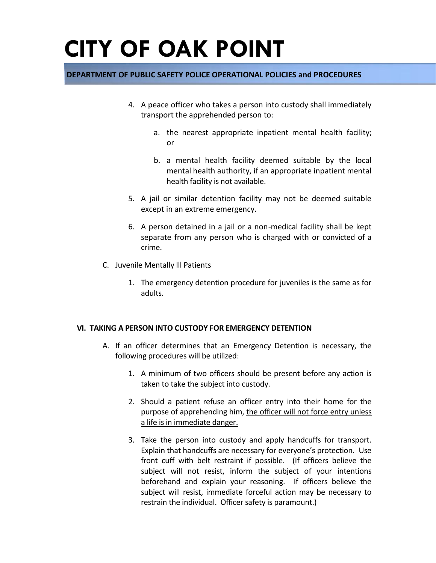## **DEPARTMENT OF PUBLIC SAFETY POLICE OPERATIONAL POLICIES and PROCEDURES**

- 4. A peace officer who takes a person into custody shall immediately transport the apprehended person to:
	- a. the nearest appropriate inpatient mental health facility; or
	- b. a mental health facility deemed suitable by the local mental health authority, if an appropriate inpatient mental health facility is not available.
- 5. A jail or similar detention facility may not be deemed suitable except in an extreme emergency.
- 6. A person detained in a jail or a non-medical facility shall be kept separate from any person who is charged with or convicted of a crime.
- C. Juvenile Mentally Ill Patients
	- 1. The emergency detention procedure for juveniles is the same as for adults.

### **VI. TAKING A PERSON INTO CUSTODY FOR EMERGENCY DETENTION**

- A. If an officer determines that an Emergency Detention is necessary, the following procedures will be utilized:
	- 1. A minimum of two officers should be present before any action is taken to take the subject into custody.
	- 2. Should a patient refuse an officer entry into their home for the purpose of apprehending him, the officer will not force entry unless a life is in immediate danger.
	- 3. Take the person into custody and apply handcuffs for transport. Explain that handcuffs are necessary for everyone's protection. Use front cuff with belt restraint if possible. (If officers believe the subject will not resist, inform the subject of your intentions beforehand and explain your reasoning. If officers believe the subject will resist, immediate forceful action may be necessary to restrain the individual. Officer safety is paramount.)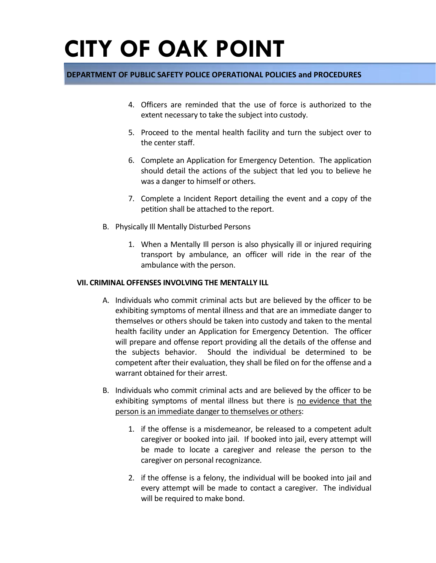### **DEPARTMENT OF PUBLIC SAFETY POLICE OPERATIONAL POLICIES and PROCEDURES**

- 4. Officers are reminded that the use of force is authorized to the extent necessary to take the subject into custody.
- 5. Proceed to the mental health facility and turn the subject over to the center staff.
- 6. Complete an Application for Emergency Detention. The application should detail the actions of the subject that led you to believe he was a danger to himself or others.
- 7. Complete a Incident Report detailing the event and a copy of the petition shall be attached to the report.
- B. Physically Ill Mentally Disturbed Persons
	- 1. When a Mentally Ill person is also physically ill or injured requiring transport by ambulance, an officer will ride in the rear of the ambulance with the person.

#### **VII. CRIMINAL OFFENSES INVOLVING THE MENTALLY ILL**

- A. Individuals who commit criminal acts but are believed by the officer to be exhibiting symptoms of mental illness and that are an immediate danger to themselves or others should be taken into custody and taken to the mental health facility under an Application for Emergency Detention. The officer will prepare and offense report providing all the details of the offense and the subjects behavior. Should the individual be determined to be competent after their evaluation, they shall be filed on for the offense and a warrant obtained for their arrest.
- B. Individuals who commit criminal acts and are believed by the officer to be exhibiting symptoms of mental illness but there is no evidence that the person is an immediate danger to themselves or others:
	- 1. if the offense is a misdemeanor, be released to a competent adult caregiver or booked into jail. If booked into jail, every attempt will be made to locate a caregiver and release the person to the caregiver on personal recognizance.
	- 2. if the offense is a felony, the individual will be booked into jail and every attempt will be made to contact a caregiver. The individual will be required to make bond.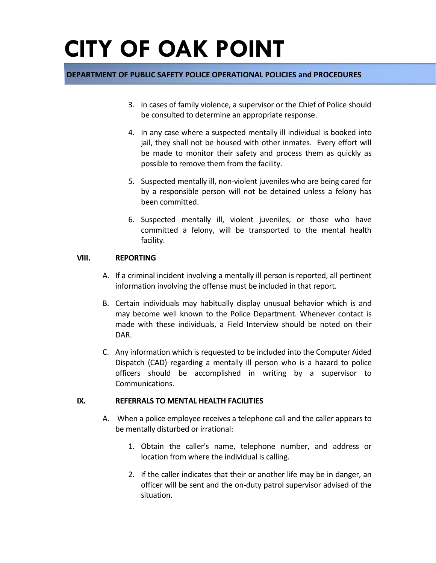### **DEPARTMENT OF PUBLIC SAFETY POLICE OPERATIONAL POLICIES and PROCEDURES**

- 3. in cases of family violence, a supervisor or the Chief of Police should be consulted to determine an appropriate response.
- 4. In any case where a suspected mentally ill individual is booked into jail, they shall not be housed with other inmates. Every effort will be made to monitor their safety and process them as quickly as possible to remove them from the facility.
- 5. Suspected mentally ill, non-violent juveniles who are being cared for by a responsible person will not be detained unless a felony has been committed.
- 6. Suspected mentally ill, violent juveniles, or those who have committed a felony, will be transported to the mental health facility.

### **VIII. REPORTING**

- A. If a criminal incident involving a mentally ill person is reported, all pertinent information involving the offense must be included in that report.
- B. Certain individuals may habitually display unusual behavior which is and may become well known to the Police Department. Whenever contact is made with these individuals, a Field Interview should be noted on their DAR.
- C. Any information which is requested to be included into the Computer Aided Dispatch (CAD) regarding a mentally ill person who is a hazard to police officers should be accomplished in writing by a supervisor to Communications.

#### **IX. REFERRALS TO MENTAL HEALTH FACILITIES**

- A. When a police employee receives a telephone call and the caller appears to be mentally disturbed or irrational:
	- 1. Obtain the caller's name, telephone number, and address or location from where the individual is calling.
	- 2. If the caller indicates that their or another life may be in danger, an officer will be sent and the on-duty patrol supervisor advised of the situation.